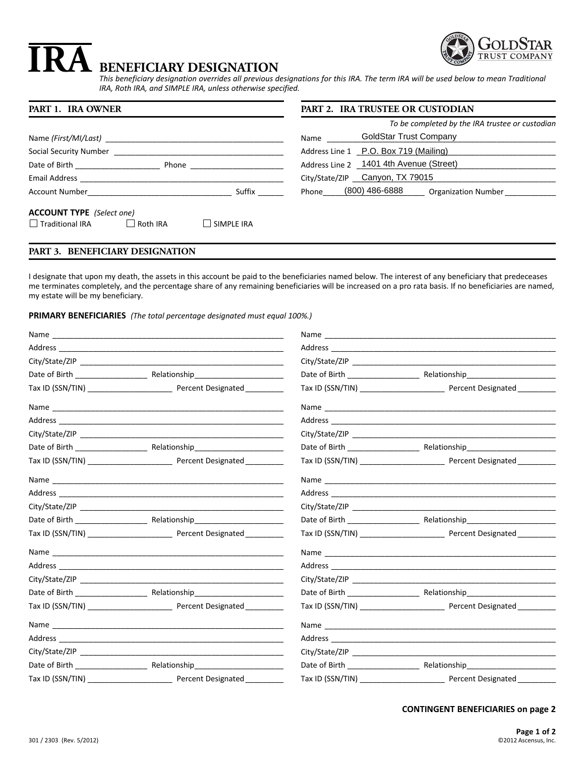

# **BENEFICIARY DESIGNATION IRA**

*This beneficiary designation overrides all previous designations for this IRA. The term IRA will be used below to mean Traditional IRA, Roth IRA, and SIMPLE IRA, unless otherwise specified.*

| PART 1. IRA OWNER                                                                                                                                                                                                                                                      | <b>PART 2. IRA TRUSTEE OR CUSTODIAN</b>            |  |
|------------------------------------------------------------------------------------------------------------------------------------------------------------------------------------------------------------------------------------------------------------------------|----------------------------------------------------|--|
|                                                                                                                                                                                                                                                                        | To be completed by the IRA trustee or custodian    |  |
| Name (First/MI/Last)                                                                                                                                                                                                                                                   | <b>GoldStar Trust Company</b><br>Name              |  |
| Social Security Number                                                                                                                                                                                                                                                 | Address Line 1 P.O. Box 719 (Mailing)              |  |
| Date of Birth <b>Exercise 20</b><br><b>Phone Contract Contract Contract Contract Contract Contract Contract Contract Contract Contract Contract Contract Contract Contract Contract Contract Contract Contract Contract Contract Contract Contract Contract Contra</b> | Address Line 2 1401 4th Avenue (Street)            |  |
|                                                                                                                                                                                                                                                                        | City/State/ZIP Canyon, TX 79015                    |  |
| Suffix<br>Account Number and the control of the control of the control of the control of the control of the control of the control of the control of the control of the control of the control of the control of the control of the cont                               | Phone (800) 486-6888<br><b>Organization Number</b> |  |
| <b>ACCOUNT TYPE</b> (Select one)                                                                                                                                                                                                                                       |                                                    |  |
| $\Box$ Traditional IRA<br>$\Box$ SIMPLE IRA<br>$\Box$ Roth IRA                                                                                                                                                                                                         |                                                    |  |

# **PART 3. BENEFICIARY DESIGNATION**

I designate that upon my death, the assets in this account be paid to the beneficiaries named below. The interest of any beneficiary that predeceases me terminates completely, and the percentage share of any remaining beneficiaries will be increased on a pro rata basis. If no beneficiaries are named, my estate will be my beneficiary.

**PRIMARY BENEFICIARIES** *(The total percentage designated must equal 100%.)*